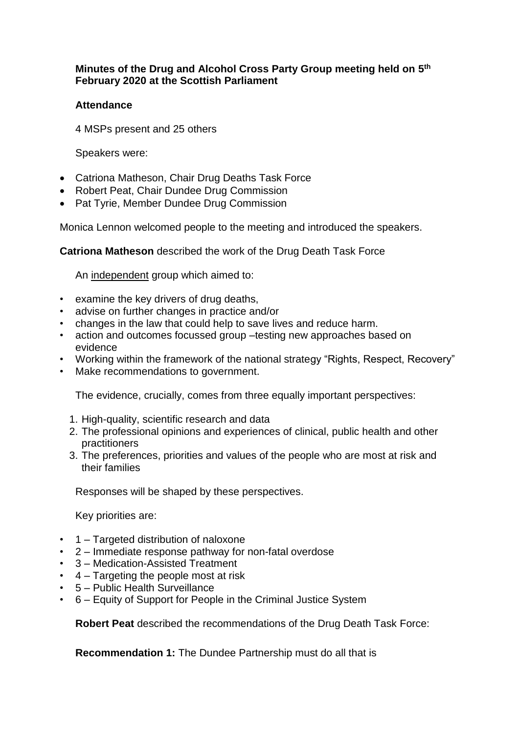## **Minutes of the Drug and Alcohol Cross Party Group meeting held on 5 th February 2020 at the Scottish Parliament**

## **Attendance**

4 MSPs present and 25 others

Speakers were:

- Catriona Matheson, Chair Drug Deaths Task Force
- Robert Peat, Chair Dundee Drug Commission
- Pat Tyrie, Member Dundee Drug Commission

Monica Lennon welcomed people to the meeting and introduced the speakers.

**Catriona Matheson** described the work of the Drug Death Task Force

An independent group which aimed to:

- examine the key drivers of drug deaths,
- advise on further changes in practice and/or
- changes in the law that could help to save lives and reduce harm.
- action and outcomes focussed group –testing new approaches based on evidence
- Working within the framework of the national strategy "Rights, Respect, Recovery"
- Make recommendations to government.

The evidence, crucially, comes from three equally important perspectives:

- 1. High-quality, scientific research and data
- 2. The professional opinions and experiences of clinical, public health and other practitioners
- 3. The preferences, priorities and values of the people who are most at risk and their families

Responses will be shaped by these perspectives.

Key priorities are:

- 1 Targeted distribution of naloxone
- 2 Immediate response pathway for non-fatal overdose
- 3 Medication-Assisted Treatment
- 4 Targeting the people most at risk
- 5 Public Health Surveillance
- 6 Equity of Support for People in the Criminal Justice System

**Robert Peat** described the recommendations of the Drug Death Task Force:

**Recommendation 1:** The Dundee Partnership must do all that is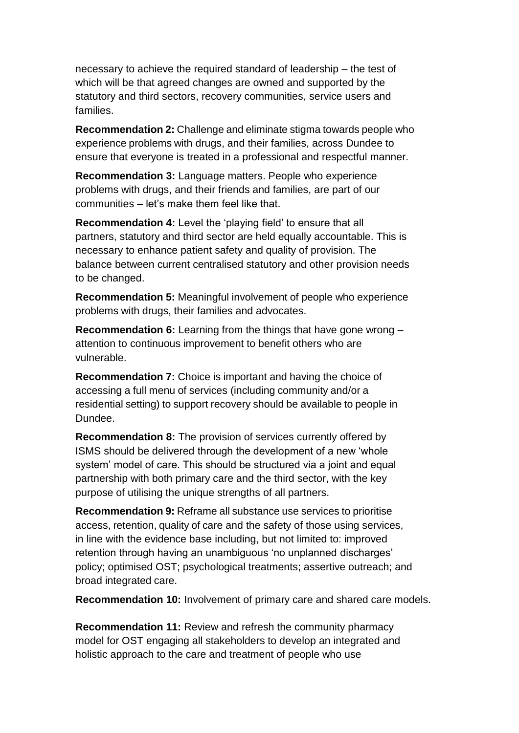necessary to achieve the required standard of leadership – the test of which will be that agreed changes are owned and supported by the statutory and third sectors, recovery communities, service users and families.

**Recommendation 2:** Challenge and eliminate stigma towards people who experience problems with drugs, and their families, across Dundee to ensure that everyone is treated in a professional and respectful manner.

**Recommendation 3:** Language matters. People who experience problems with drugs, and their friends and families, are part of our communities – let's make them feel like that.

**Recommendation 4:** Level the 'playing field' to ensure that all partners, statutory and third sector are held equally accountable. This is necessary to enhance patient safety and quality of provision. The balance between current centralised statutory and other provision needs to be changed.

**Recommendation 5:** Meaningful involvement of people who experience problems with drugs, their families and advocates.

**Recommendation 6:** Learning from the things that have gone wrong – attention to continuous improvement to benefit others who are vulnerable.

**Recommendation 7:** Choice is important and having the choice of accessing a full menu of services (including community and/or a residential setting) to support recovery should be available to people in Dundee.

**Recommendation 8:** The provision of services currently offered by ISMS should be delivered through the development of a new 'whole system' model of care. This should be structured via a joint and equal partnership with both primary care and the third sector, with the key purpose of utilising the unique strengths of all partners.

**Recommendation 9:** Reframe all substance use services to prioritise access, retention, quality of care and the safety of those using services, in line with the evidence base including, but not limited to: improved retention through having an unambiguous 'no unplanned discharges' policy; optimised OST; psychological treatments; assertive outreach; and broad integrated care.

**Recommendation 10:** Involvement of primary care and shared care models.

**Recommendation 11:** Review and refresh the community pharmacy model for OST engaging all stakeholders to develop an integrated and holistic approach to the care and treatment of people who use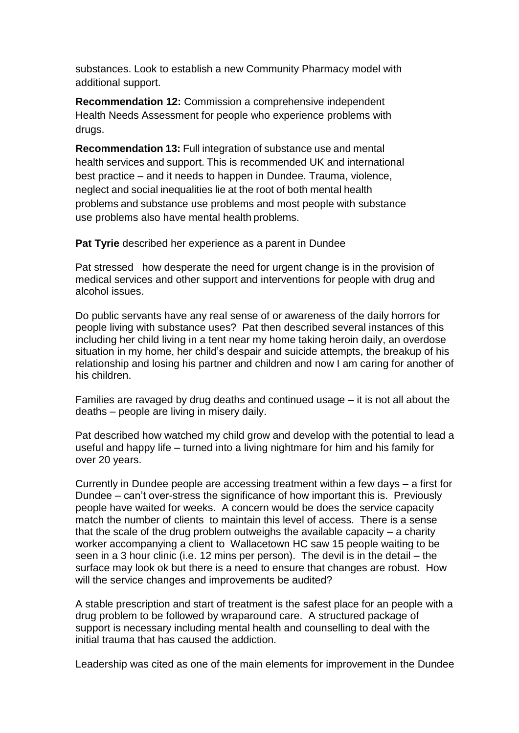substances. Look to establish a new Community Pharmacy model with additional support.

**Recommendation 12:** Commission a comprehensive independent Health Needs Assessment for people who experience problems with drugs.

**Recommendation 13:** Full integration of substance use and mental health services and support. This is recommended UK and international best practice – and it needs to happen in Dundee. Trauma, violence, neglect and social inequalities lie at the root of both mental health problems and substance use problems and most people with substance use problems also have mental health problems.

**Pat Tyrie** described her experience as a parent in Dundee

Pat stressed how desperate the need for urgent change is in the provision of medical services and other support and interventions for people with drug and alcohol issues.

Do public servants have any real sense of or awareness of the daily horrors for people living with substance uses? Pat then described several instances of this including her child living in a tent near my home taking heroin daily, an overdose situation in my home, her child's despair and suicide attempts, the breakup of his relationship and losing his partner and children and now I am caring for another of his children.

Families are ravaged by drug deaths and continued usage – it is not all about the deaths – people are living in misery daily.

Pat described how watched my child grow and develop with the potential to lead a useful and happy life – turned into a living nightmare for him and his family for over 20 years.

Currently in Dundee people are accessing treatment within a few days – a first for Dundee – can't over-stress the significance of how important this is. Previously people have waited for weeks. A concern would be does the service capacity match the number of clients to maintain this level of access. There is a sense that the scale of the drug problem outweighs the available capacity – a charity worker accompanying a client to Wallacetown HC saw 15 people waiting to be seen in a 3 hour clinic (i.e. 12 mins per person). The devil is in the detail – the surface may look ok but there is a need to ensure that changes are robust. How will the service changes and improvements be audited?

A stable prescription and start of treatment is the safest place for an people with a drug problem to be followed by wraparound care. A structured package of support is necessary including mental health and counselling to deal with the initial trauma that has caused the addiction.

Leadership was cited as one of the main elements for improvement in the Dundee